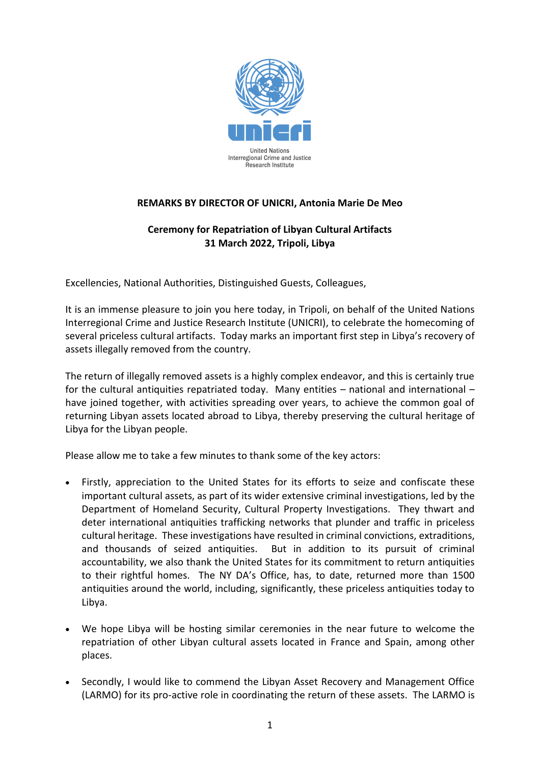

## **REMARKS BY DIRECTOR OF UNICRI, Antonia Marie De Meo**

## **Ceremony for Repatriation of Libyan Cultural Artifacts 31 March 2022, Tripoli, Libya**

Excellencies, National Authorities, Distinguished Guests, Colleagues,

It is an immense pleasure to join you here today, in Tripoli, on behalf of the United Nations Interregional Crime and Justice Research Institute (UNICRI), to celebrate the homecoming of several priceless cultural artifacts. Today marks an important first step in Libya's recovery of assets illegally removed from the country.

The return of illegally removed assets is a highly complex endeavor, and this is certainly true for the cultural antiquities repatriated today. Many entities – national and international – have joined together, with activities spreading over years, to achieve the common goal of returning Libyan assets located abroad to Libya, thereby preserving the cultural heritage of Libya for the Libyan people.

Please allow me to take a few minutes to thank some of the key actors:

- Firstly, appreciation to the United States for its efforts to seize and confiscate these important cultural assets, as part of its wider extensive criminal investigations, led by the Department of Homeland Security, Cultural Property Investigations. They thwart and deter international antiquities trafficking networks that plunder and traffic in priceless cultural heritage. These investigations have resulted in criminal convictions, extraditions, and thousands of seized antiquities. But in addition to its pursuit of criminal accountability, we also thank the United States for its commitment to return antiquities to their rightful homes. The NY DA's Office, has, to date, returned more than 1500 antiquities around the world, including, significantly, these priceless antiquities today to Libya.
- We hope Libya will be hosting similar ceremonies in the near future to welcome the repatriation of other Libyan cultural assets located in France and Spain, among other places.
- Secondly, I would like to commend the Libyan Asset Recovery and Management Office (LARMO) for its pro-active role in coordinating the return of these assets. The LARMO is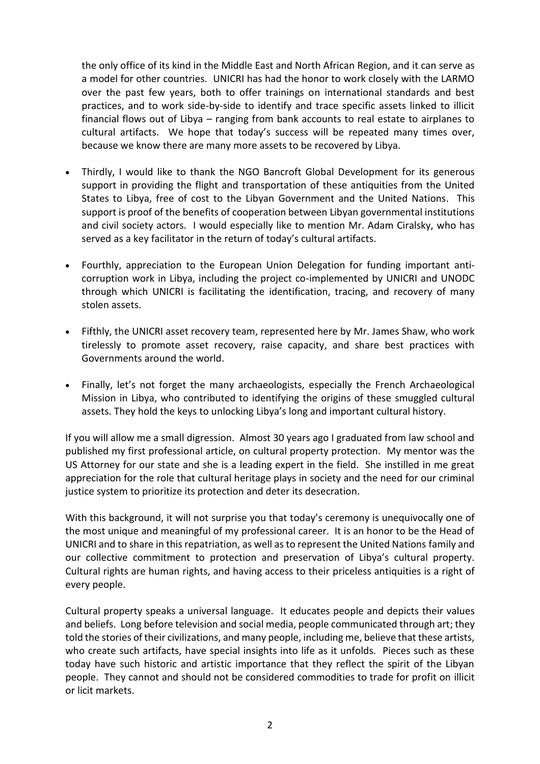the only office of its kind in the Middle East and North African Region, and it can serve as a model for other countries. UNICRI has had the honor to work closely with the LARMO over the past few years, both to offer trainings on international standards and best practices, and to work side-by-side to identify and trace specific assets linked to illicit financial flows out of Libya – ranging from bank accounts to real estate to airplanes to cultural artifacts. We hope that today's success will be repeated many times over, because we know there are many more assets to be recovered by Libya.

- Thirdly, I would like to thank the NGO Bancroft Global Development for its generous support in providing the flight and transportation of these antiquities from the United States to Libya, free of cost to the Libyan Government and the United Nations. This support is proof of the benefits of cooperation between Libyan governmental institutions and civil society actors. I would especially like to mention Mr. Adam Ciralsky, who has served as a key facilitator in the return of today's cultural artifacts.
- Fourthly, appreciation to the European Union Delegation for funding important anticorruption work in Libya, including the project co-implemented by UNICRI and UNODC through which UNICRI is facilitating the identification, tracing, and recovery of many stolen assets.
- Fifthly, the UNICRI asset recovery team, represented here by Mr. James Shaw, who work tirelessly to promote asset recovery, raise capacity, and share best practices with Governments around the world.
- Finally, let's not forget the many archaeologists, especially the French Archaeological Mission in Libya, who contributed to identifying the origins of these smuggled cultural assets. They hold the keys to unlocking Libya's long and important cultural history.

If you will allow me a small digression. Almost 30 years ago I graduated from law school and published my first professional article, on cultural property protection. My mentor was the US Attorney for our state and she is a leading expert in the field. She instilled in me great appreciation for the role that cultural heritage plays in society and the need for our criminal justice system to prioritize its protection and deter its desecration.

With this background, it will not surprise you that today's ceremony is unequivocally one of the most unique and meaningful of my professional career. It is an honor to be the Head of UNICRI and to share in this repatriation, as well as to represent the United Nations family and our collective commitment to protection and preservation of Libya's cultural property. Cultural rights are human rights, and having access to their priceless antiquities is a right of every people.

Cultural property speaks a universal language. It educates people and depicts their values and beliefs. Long before television and social media, people communicated through art; they told the stories of their civilizations, and many people, including me, believe that these artists, who create such artifacts, have special insights into life as it unfolds. Pieces such as these today have such historic and artistic importance that they reflect the spirit of the Libyan people. They cannot and should not be considered commodities to trade for profit on illicit or licit markets.